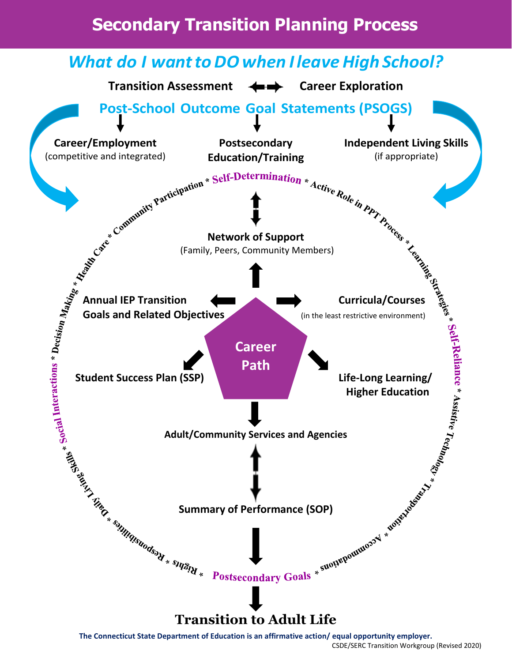## **Secondary Transition Planning Process**



**The Connecticut State Department of Education is an affirmative action/ equal opportunity employer.**